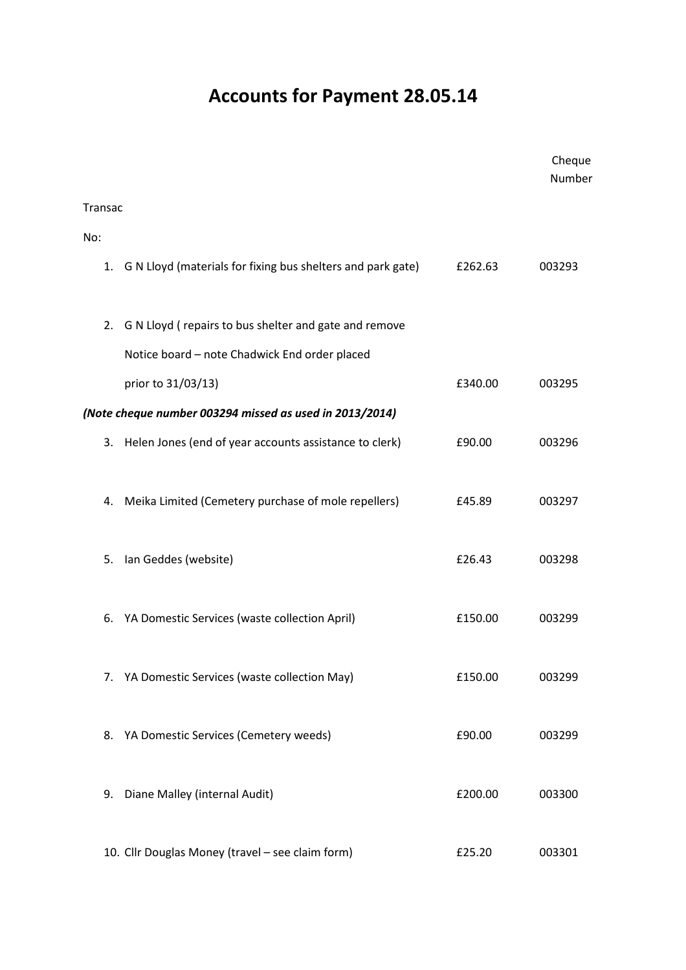## Accounts for Payment 28.05.14

|         |                                                                |         | Cheque<br>Number |
|---------|----------------------------------------------------------------|---------|------------------|
| Transac |                                                                |         |                  |
| No:     |                                                                |         |                  |
|         | 1. G N Lloyd (materials for fixing bus shelters and park gate) | £262.63 | 003293           |
| 2.      | G N Lloyd (repairs to bus shelter and gate and remove          |         |                  |
|         | Notice board - note Chadwick End order placed                  |         |                  |
|         | prior to 31/03/13)                                             | £340.00 | 003295           |
|         | (Note cheque number 003294 missed as used in 2013/2014)        |         |                  |
| 3.      | Helen Jones (end of year accounts assistance to clerk)         | £90.00  | 003296           |
| 4.      | Meika Limited (Cemetery purchase of mole repellers)            | £45.89  | 003297           |
| 5.      | Ian Geddes (website)                                           | £26.43  | 003298           |
| 6.      | YA Domestic Services (waste collection April)                  | £150.00 | 003299           |
|         | 7. YA Domestic Services (waste collection May)                 | £150.00 | 003299           |
|         | 8. YA Domestic Services (Cemetery weeds)                       | £90.00  | 003299           |
| 9.      | Diane Malley (internal Audit)                                  | £200.00 | 003300           |
|         | 10. Cllr Douglas Money (travel - see claim form)               | £25.20  | 003301           |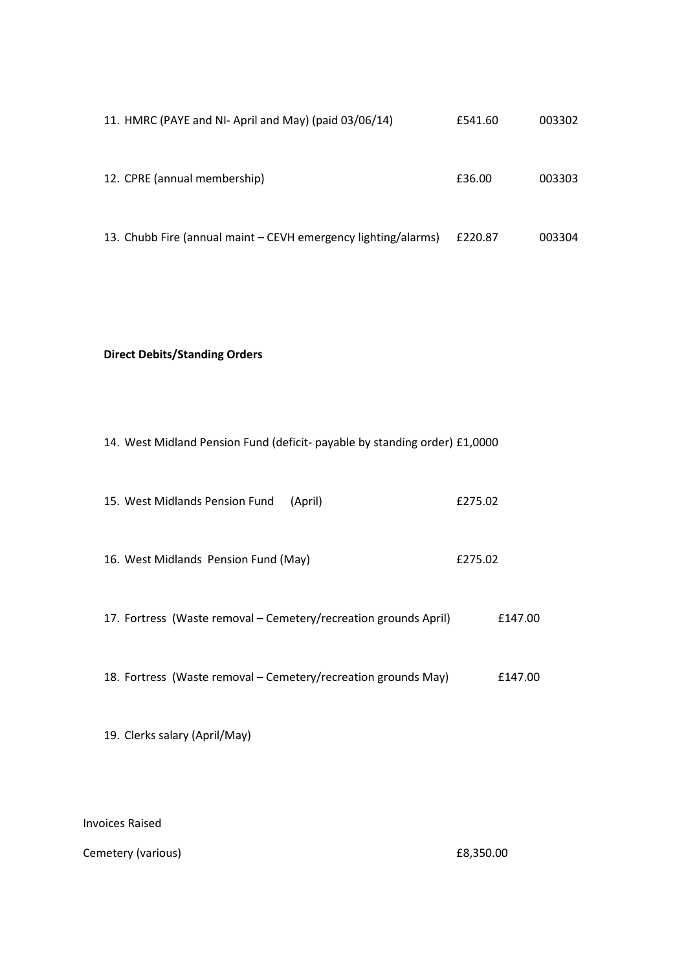| 11. HMRC (PAYE and NI-April and May) (paid 03/06/14)           | £541.60 | 003302 |
|----------------------------------------------------------------|---------|--------|
| 12. CPRE (annual membership)                                   | £36.00  | 003303 |
| 13. Chubb Fire (annual maint – CEVH emergency lighting/alarms) | £220.87 | 003304 |

## Direct Debits/Standing Orders

|  |  |  |  | 14. West Midland Pension Fund (deficit- payable by standing order) £1,0000 |
|--|--|--|--|----------------------------------------------------------------------------|
|--|--|--|--|----------------------------------------------------------------------------|

| 15. West Midlands Pension Fund | (April) | £275.02 |
|--------------------------------|---------|---------|
|                                |         |         |

- 16. West Midlands Pension Fund (May) £275.02
- 17. Fortress (Waste removal Cemetery/recreation grounds April) £147.00
- 18. Fortress (Waste removal Cemetery/recreation grounds May) E147.00
- 19. Clerks salary (April/May)

## Invoices Raised

Cemetery (various) **E8,350.00**